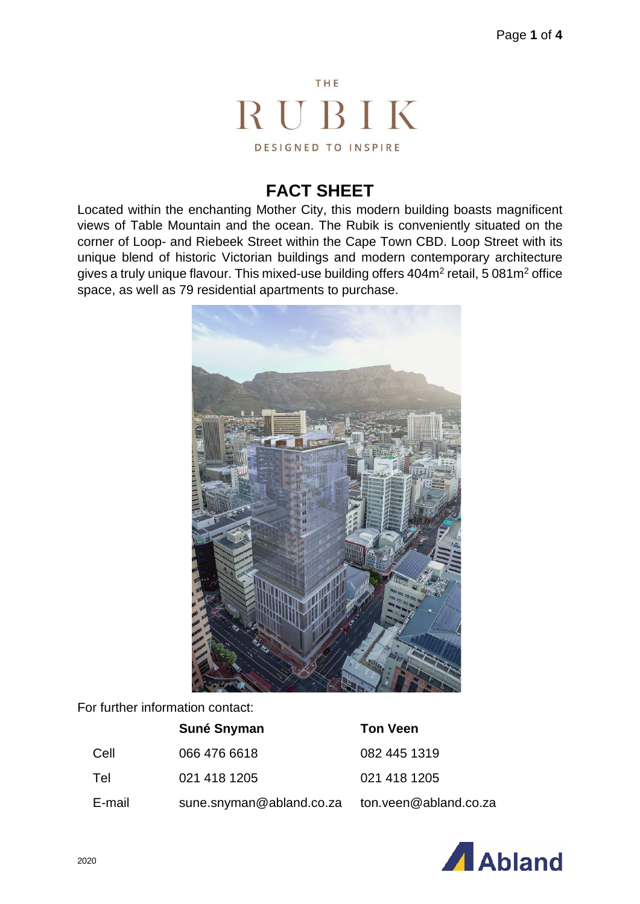

#### **FACT SHEET**

Located within the enchanting Mother City, this modern building boasts magnificent views of Table Mountain and the ocean. The Rubik is conveniently situated on the corner of Loop- and Riebeek Street within the Cape Town CBD. Loop Street with its unique blend of historic Victorian buildings and modern contemporary architecture gives a truly unique flavour. This mixed-use building offers 404m<sup>2</sup> retail, 5 081m<sup>2</sup> office space, as well as 79 residential apartments to purchase.



For further information contact:

|        | Suné Snyman              | <b>Ton Veen</b>       |
|--------|--------------------------|-----------------------|
| Cell   | 066 476 6618             | 082 445 1319          |
| Tel    | 021 418 1205             | 021 418 1205          |
| E-mail | sune.snyman@abland.co.za | ton.veen@abland.co.za |

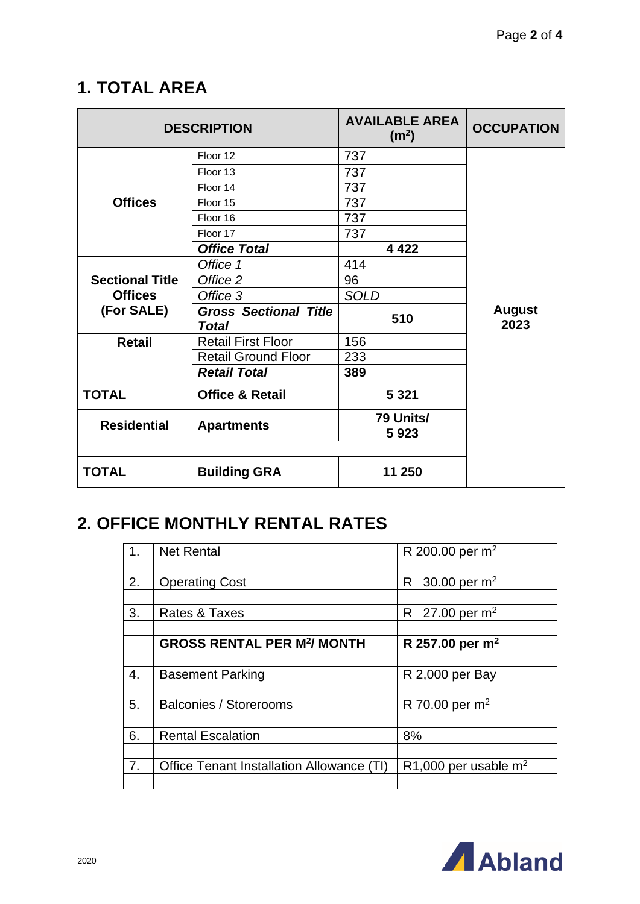# **1. TOTAL AREA**

|                        | <b>DESCRIPTION</b>                    | <b>AVAILABLE AREA</b><br>(m <sup>2</sup> ) | <b>OCCUPATION</b>     |
|------------------------|---------------------------------------|--------------------------------------------|-----------------------|
|                        | Floor 12                              | 737                                        |                       |
|                        | Floor 13                              | 737                                        |                       |
|                        | Floor 14                              | 737                                        |                       |
| <b>Offices</b>         | Floor 15                              | 737                                        |                       |
|                        | Floor 16                              | 737                                        |                       |
|                        | Floor 17                              | 737                                        |                       |
|                        | <b>Office Total</b>                   | 4 4 2 2                                    |                       |
|                        | Office 1                              | 414                                        |                       |
| <b>Sectional Title</b> | Office 2                              | 96                                         |                       |
| <b>Offices</b>         | Office 3                              | <b>SOLD</b>                                |                       |
| (For SALE)             | <b>Gross Sectional Title</b><br>Total | 510                                        | <b>August</b><br>2023 |
| <b>Retail</b>          | <b>Retail First Floor</b>             | 156                                        |                       |
|                        | <b>Retail Ground Floor</b>            | 233                                        |                       |
|                        | <b>Retail Total</b>                   | 389                                        |                       |
| <b>TOTAL</b>           | <b>Office &amp; Retail</b>            | 5 3 2 1                                    |                       |
| <b>Residential</b>     | <b>Apartments</b>                     | 79 Units/<br>5923                          |                       |
|                        |                                       |                                            |                       |
| TOTAL                  | <b>Building GRA</b>                   | 11 250                                     |                       |

# **2. OFFICE MONTHLY RENTAL RATES**

| 1. | <b>Net Rental</b>                            | R 200.00 per $m^2$                  |
|----|----------------------------------------------|-------------------------------------|
|    |                                              |                                     |
| 2. | <b>Operating Cost</b>                        | 30.00 per $m^2$<br>$R_{\perp}$      |
|    |                                              |                                     |
| 3. | Rates & Taxes                                | R 27.00 per $m^2$                   |
|    |                                              |                                     |
|    | <b>GROSS RENTAL PER M<sup>2</sup>/ MONTH</b> | R 257.00 per $m^2$                  |
|    |                                              |                                     |
| 4. | <b>Basement Parking</b>                      | R 2,000 per Bay                     |
|    |                                              |                                     |
| 5. | <b>Balconies / Storerooms</b>                | R 70.00 per $m^2$                   |
|    |                                              |                                     |
| 6. | <b>Rental Escalation</b>                     | 8%                                  |
|    |                                              |                                     |
| 7. | Office Tenant Installation Allowance (TI)    | R <sub>1</sub> ,000 per usable $m2$ |
|    |                                              |                                     |

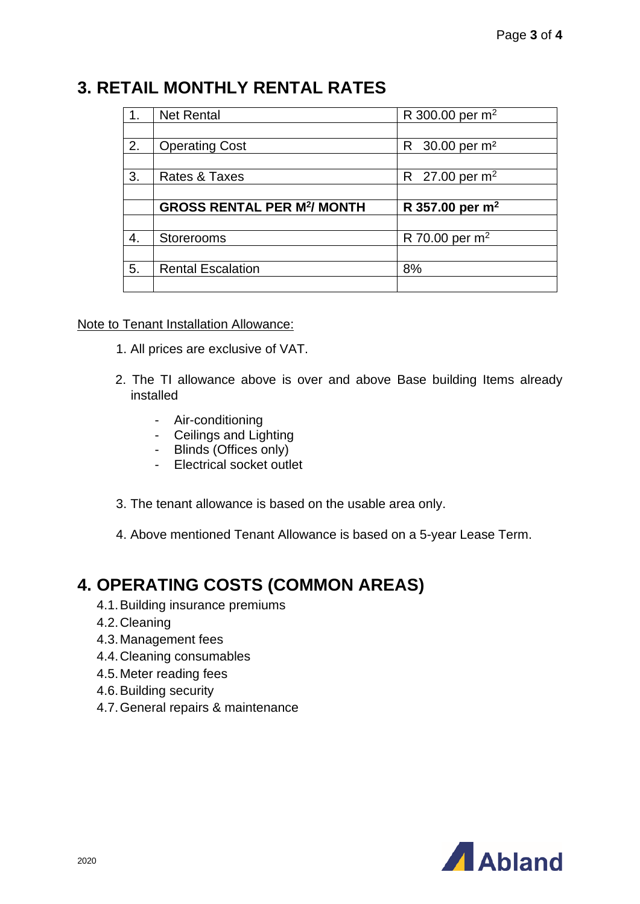#### **3. RETAIL MONTHLY RENTAL RATES**

|    | <b>Net Rental</b>                            | R 300.00 per m <sup>2</sup>   |
|----|----------------------------------------------|-------------------------------|
|    |                                              |                               |
| 2. | <b>Operating Cost</b>                        | 30.00 per m <sup>2</sup><br>R |
|    |                                              |                               |
| 3. | Rates & Taxes                                | R 27.00 per $m^2$             |
|    |                                              |                               |
|    |                                              |                               |
|    | <b>GROSS RENTAL PER M<sup>2</sup>/ MONTH</b> | R 357.00 per $m^2$            |
|    |                                              |                               |
| 4. | <b>Storerooms</b>                            | R 70.00 per $m^2$             |
|    |                                              |                               |
| 5. | <b>Rental Escalation</b>                     | 8%                            |

#### Note to Tenant Installation Allowance:

- 1. All prices are exclusive of VAT.
- 2. The TI allowance above is over and above Base building Items already installed
	- Air-conditioning
	- Ceilings and Lighting
	- Blinds (Offices only)
	- Electrical socket outlet
- 3. The tenant allowance is based on the usable area only.
- 4. Above mentioned Tenant Allowance is based on a 5-year Lease Term.

#### **4. OPERATING COSTS (COMMON AREAS)**

- 4.1.Building insurance premiums
- 4.2.Cleaning
- 4.3.Management fees
- 4.4.Cleaning consumables
- 4.5.Meter reading fees
- 4.6.Building security
- 4.7.General repairs & maintenance